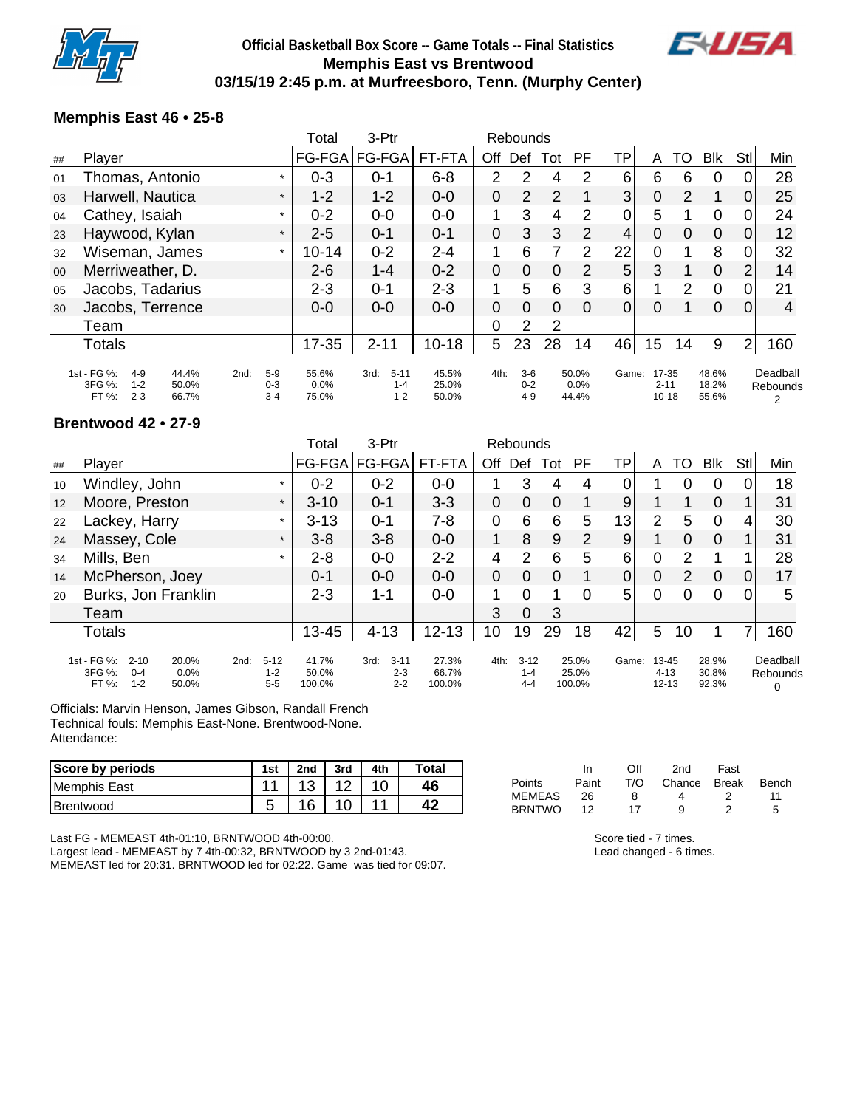

## **Official Basketball Box Score -- Game Totals -- Final Statistics Memphis East vs Brentwood 03/15/19 2:45 p.m. at Murfreesboro, Tenn. (Murphy Center)**



### **Memphis East 46 • 25-8**

| Player                                                          |                         |                                                                                                                                                       |                             |                           | 3-Ptr                                  |                         |     |                             | Rebounds       |                |                        |                |               |                                |                |                                  |
|-----------------------------------------------------------------|-------------------------|-------------------------------------------------------------------------------------------------------------------------------------------------------|-----------------------------|---------------------------|----------------------------------------|-------------------------|-----|-----------------------------|----------------|----------------|------------------------|----------------|---------------|--------------------------------|----------------|----------------------------------|
|                                                                 |                         |                                                                                                                                                       |                             | FG-FGA                    | FG-FGA                                 | FT-FTA                  | Off | Def                         | Totl           | PF             | ΤP                     | A              | TO            | <b>Blk</b>                     | Stl            | Min                              |
|                                                                 |                         |                                                                                                                                                       |                             | $0 - 3$                   | $0 - 1$                                | $6 - 8$                 | 2   | 2                           | 4              | 2              | 6                      | 6              | 6             | 0                              |                | 28                               |
|                                                                 |                         |                                                                                                                                                       | $\star$                     | $1 - 2$                   | $1 - 2$                                | $0 - 0$                 | 0   | $\overline{2}$              | $\overline{2}$ |                | 3                      | 0              | 2             | 1                              | 0              | 25                               |
|                                                                 |                         |                                                                                                                                                       | $\star$                     | $0 - 2$                   | $0-0$                                  | $0-0$                   | 1   | 3                           | 4              | 2              | 0                      | 5              |               | 0                              |                | 24                               |
|                                                                 |                         |                                                                                                                                                       | $\star$                     | $2 - 5$                   | $0 - 1$                                | $0 - 1$                 | 0   | 3                           | 3              | $\overline{2}$ | 4                      | 0              | 0             | $\mathbf 0$                    | 0              | 12                               |
|                                                                 |                         |                                                                                                                                                       | $\star$                     | $10 - 14$                 | $0 - 2$                                | $2 - 4$                 | 1   | 6                           | $\overline{7}$ | $\overline{2}$ | 22                     | $\overline{0}$ | 1             | 8                              |                | 32                               |
|                                                                 |                         |                                                                                                                                                       |                             | $2 - 6$                   | $1 - 4$                                | $0 - 2$                 | 0   | 0                           | 0              | 2              | 5                      | 3              |               | $\mathbf 0$                    | 2              | 14                               |
|                                                                 |                         |                                                                                                                                                       |                             | $2 - 3$                   | $0 - 1$                                | $2 - 3$                 | 1   | 5                           | 6              | 3              | 6                      | 1              | $\mathcal{P}$ | $\overline{0}$                 |                | 21                               |
|                                                                 |                         |                                                                                                                                                       |                             | $0 - 0$                   | $0 - 0$                                | $0 - 0$                 | 0   | 0                           | 0              | $\Omega$       | $\overline{0}$         | 0              |               | 0                              | 0              | 4                                |
| Team                                                            |                         |                                                                                                                                                       |                             |                           |                                        |                         | 0   | 2                           | 2              |                |                        |                |               |                                |                |                                  |
| <b>Totals</b>                                                   |                         |                                                                                                                                                       |                             | $17 - 35$                 | $2 - 11$                               | $10 - 18$               | 5   | 23                          | 28             | 14             | 46                     | 15             | 14            | 9                              | 2 <sub>1</sub> | 160                              |
| 1st - FG %:<br>$4 - 9$<br>3FG %:<br>$1 - 2$<br>FT %:<br>$2 - 3$ | 44.4%<br>50.0%<br>66.7% | 2nd:                                                                                                                                                  | $5-9$<br>$0 - 3$<br>$3 - 4$ | 55.6%<br>$0.0\%$<br>75.0% | 3rd:<br>$5 - 11$<br>$1 - 4$<br>$1 - 2$ | 45.5%<br>25.0%<br>50.0% |     | $3-6$<br>$0 - 2$<br>$4 - 9$ |                |                |                        |                |               | 18.2%<br>55.6%                 |                | Deadball<br><b>Rebounds</b><br>2 |
|                                                                 |                         | Thomas, Antonio<br>Harwell, Nautica<br>Cathey, Isaiah<br>Haywood, Kylan<br>Wiseman, James<br>Merriweather, D.<br>Jacobs, Tadarius<br>Jacobs, Terrence |                             |                           |                                        |                         |     |                             | 4th:           |                | 50.0%<br>0.0%<br>44.4% |                | Game:         | 17-35<br>$2 - 11$<br>$10 - 18$ | 48.6%          |                                  |

#### **Brentwood 42 • 27-9**

|    |                                                                                          |                                        | Total                    | 3-Ptr                                  |                          |                | Rebounds                       |             |                          |             |                                    |          |                         |          |                           |
|----|------------------------------------------------------------------------------------------|----------------------------------------|--------------------------|----------------------------------------|--------------------------|----------------|--------------------------------|-------------|--------------------------|-------------|------------------------------------|----------|-------------------------|----------|---------------------------|
| ## | Player                                                                                   |                                        |                          | FG-FGA FG-FGA                          | FT-FTA                   | Off            | Def                            | Totl        | PF                       | TP          | A                                  | TO       | <b>Blk</b>              | Stl      | Min                       |
| 10 | Windley, John                                                                            | $\star$                                | $0 - 2$                  | $0 - 2$                                | $0-0$                    |                | 3                              | 4           | 4                        | 0           |                                    |          | 0                       |          | 18                        |
| 12 | Moore, Preston                                                                           | $\star$                                | $3 - 10$                 | $0 - 1$                                | $3 - 3$                  | 0              | $\overline{0}$                 | $\mathbf 0$ | 1                        | 9           |                                    |          | $\mathbf 0$             |          | 31                        |
| 22 | Lackey, Harry                                                                            | $\star$                                | $3 - 13$                 | $0 - 1$                                | 7-8                      | $\mathbf 0$    | 6                              | 6           | 5                        | 13          | 2                                  | 5        | $\Omega$                | 4        | 30                        |
| 24 | Massey, Cole                                                                             | $\star$                                | $3 - 8$                  | $3 - 8$                                | $0-0$                    | 1              | 8                              | 9           | $\overline{2}$           | 9           |                                    | $\Omega$ | $\overline{0}$          |          | 31                        |
| 34 | Mills, Ben                                                                               | $\star$                                | $2 - 8$                  | $0-0$                                  | $2 - 2$                  | 4              | $\overline{2}$                 | 6           | 5                        | 6           | $\overline{0}$                     | 2        |                         |          | 28                        |
| 14 | McPherson, Joey                                                                          |                                        | $0 - 1$                  | $0 - 0$                                | $0 - 0$                  | $\overline{0}$ | $\overline{0}$                 | $\mathbf 0$ |                          | $\mathbf 0$ | $\mathbf 0$                        | 2        | $\overline{0}$          | $\Omega$ | 17                        |
| 20 | Burks, Jon Franklin                                                                      |                                        | $2 - 3$                  | $1 - 1$                                | $0-0$                    | 1              | $\Omega$                       | 1           | $\Omega$                 | 5           | 0                                  | $\Omega$ | $\overline{0}$          | 0        | 5                         |
|    | Team                                                                                     |                                        |                          |                                        |                          | 3              | $\overline{0}$                 | 3           |                          |             |                                    |          |                         |          |                           |
|    | <b>Totals</b>                                                                            |                                        | 13-45                    | $4 - 13$                               | $12 - 13$                | 10             | 19                             | 29          | 18                       | 42          | 5                                  | 10       |                         |          | 160                       |
|    | 1st - FG %:<br>20.0%<br>$2 - 10$<br>3FG %:<br>$0 - 4$<br>0.0%<br>$1 - 2$<br>FT%<br>50.0% | $5 - 12$<br>2nd:<br>$1 - 2$<br>$5 - 5$ | 41.7%<br>50.0%<br>100.0% | $3 - 11$<br>3rd:<br>$2 - 3$<br>$2 - 2$ | 27.3%<br>66.7%<br>100.0% | 4th:           | $3 - 12$<br>$1 - 4$<br>$4 - 4$ |             | 25.0%<br>25.0%<br>100.0% | Game:       | $13 - 45$<br>$4 - 13$<br>$12 - 13$ |          | 28.9%<br>30.8%<br>92.3% |          | Deadball<br>Rebounds<br>0 |

Officials: Marvin Henson, James Gibson, Randall French Technical fouls: Memphis East-None. Brentwood-None. Attendance:

| <b>Score by periods</b> | 1st | 2nd             | 3rd           | 4th | Total |                                | In        | Off | 2nd    | Fast         |       |
|-------------------------|-----|-----------------|---------------|-----|-------|--------------------------------|-----------|-----|--------|--------------|-------|
| Memphis East            | -   | $\sqrt{2}$<br>ັ | $\sim$<br>' 4 | 10  | 46    | Points                         | Paint     | T/O | Chance | <b>Break</b> | Bench |
| Brentwood               |     | 16<br>U         | 10            | 44  |       | <b>MEMEAS</b><br><b>BRNTWO</b> | 26<br>. . |     |        |              |       |

Last FG - MEMEAST 4th-01:10, BRNTWOOD 4th-00:00.

Largest lead - MEMEAST by 7 4th-00:32, BRNTWOOD by 3 2nd-01:43. MEMEAST led for 20:31. BRNTWOOD led for 02:22. Game was tied for 09:07. Score tied - 7 times. Lead changed - 6 times.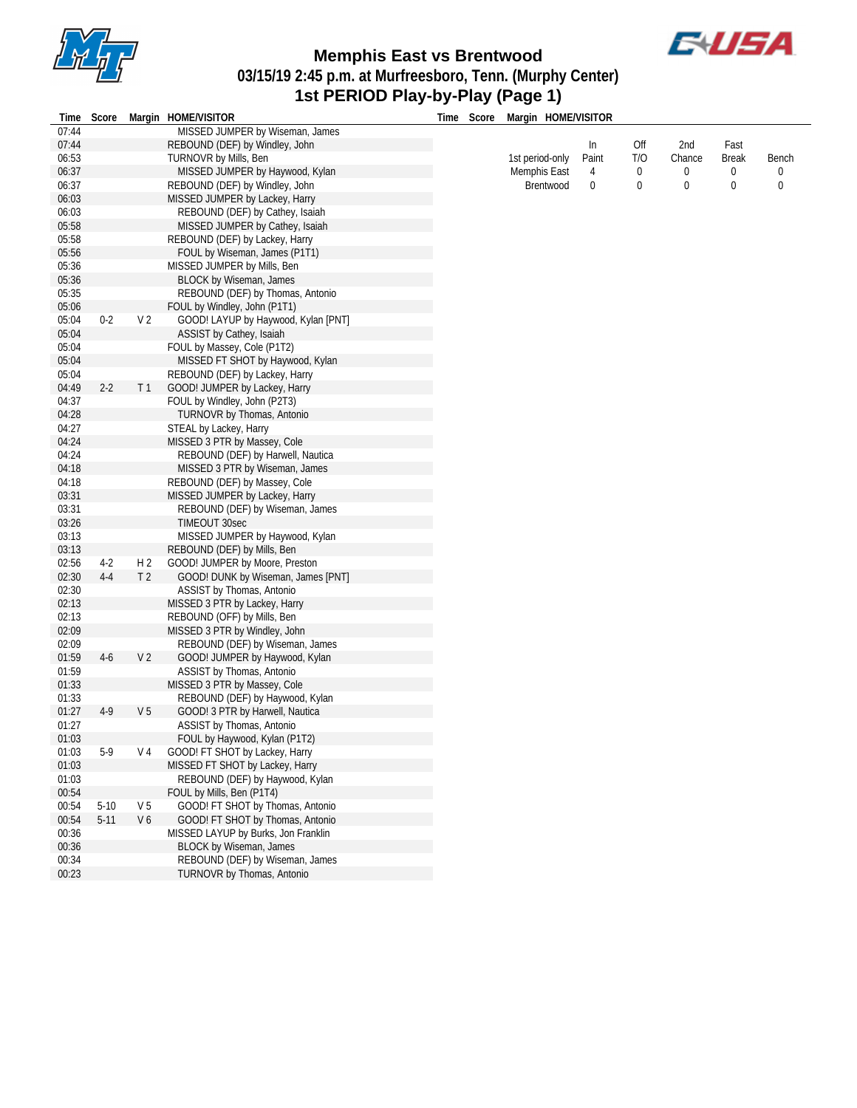



**03/15/19 2:45 p.m. at Murfreesboro, Tenn. (Murphy Center)**

### **1st PERIOD Play-by-Play (Page 1)**

| Time Score | Margin HOME/VISITOR |  |
|------------|---------------------|--|

|       | Time Score Margin HOME/VISITOR  | Score<br><b>fime</b> | Margin HOME/VISITOR |          |     |        |              |       |
|-------|---------------------------------|----------------------|---------------------|----------|-----|--------|--------------|-------|
| 07:44 | MISSED JUMPER by Wiseman, James |                      |                     |          |     |        |              |       |
| 07:44 | REBOUND (DEF) by Windley, John  |                      |                     | In       | Off | 2nd    | Fast         |       |
| 06:53 | TURNOVR by Mills, Ben           |                      | 1st period-only     | Paint    | T/O | Chance | <b>Break</b> | Bench |
| 06:37 | MISSED JUMPER by Haywood, Kylan |                      | Memphis East        | 4        |     |        | 0            |       |
| 06:37 | REBOUND (DEF) by Windley, John  |                      | Brentwood           | $\Omega$ |     |        |              |       |
| 06:03 | MISSED JUMPER by Lackey, Harry  |                      |                     |          |     |        |              |       |
| 06:03 | REBOUND (DEF) by Cathey, Isaiah |                      |                     |          |     |        |              |       |
| 05:58 | MISSED JUMPER by Cathey, Isaiah |                      |                     |          |     |        |              |       |

| 05:56 |          |                | FOUL by Wiseman, James (P1T1)       |
|-------|----------|----------------|-------------------------------------|
| 05:36 |          |                | MISSED JUMPER by Mills, Ben         |
| 05:36 |          |                | <b>BLOCK by Wiseman, James</b>      |
| 05:35 |          |                | REBOUND (DEF) by Thomas, Antonio    |
| 05:06 |          |                | FOUL by Windley, John (P1T1)        |
| 05:04 | $0 - 2$  | V <sub>2</sub> | GOOD! LAYUP by Haywood, Kylan [PNT] |
| 05:04 |          |                | ASSIST by Cathey, Isaiah            |
| 05:04 |          |                | FOUL by Massey, Cole (P1T2)         |
| 05:04 |          |                | MISSED FT SHOT by Haywood, Kylan    |
| 05:04 |          |                | REBOUND (DEF) by Lackey, Harry      |
| 04:49 | $2-2$    | T <sub>1</sub> | GOOD! JUMPER by Lackey, Harry       |
| 04:37 |          |                | FOUL by Windley, John (P2T3)        |
| 04:28 |          |                | TURNOVR by Thomas, Antonio          |
| 04:27 |          |                | STEAL by Lackey, Harry              |
| 04:24 |          |                | MISSED 3 PTR by Massey, Cole        |
| 04:24 |          |                | REBOUND (DEF) by Harwell, Nautica   |
| 04:18 |          |                | MISSED 3 PTR by Wiseman, James      |
| 04:18 |          |                | REBOUND (DEF) by Massey, Cole       |
| 03:31 |          |                | MISSED JUMPER by Lackey, Harry      |
| 03:31 |          |                | REBOUND (DEF) by Wiseman, James     |
| 03:26 |          |                | <b>TIMEOUT 30sec</b>                |
| 03:13 |          |                | MISSED JUMPER by Haywood, Kylan     |
| 03:13 |          |                | REBOUND (DEF) by Mills, Ben         |
| 02:56 | $4-2$    | H <sub>2</sub> | GOOD! JUMPER by Moore, Preston      |
| 02:30 | $4 - 4$  | T <sub>2</sub> | GOOD! DUNK by Wiseman, James [PNT]  |
| 02:30 |          |                | ASSIST by Thomas, Antonio           |
| 02:13 |          |                | MISSED 3 PTR by Lackey, Harry       |
| 02:13 |          |                | REBOUND (OFF) by Mills, Ben         |
| 02:09 |          |                | MISSED 3 PTR by Windley, John       |
| 02:09 |          |                | REBOUND (DEF) by Wiseman, James     |
| 01:59 | $4-6$    | V <sub>2</sub> | GOOD! JUMPER by Haywood, Kylan      |
| 01:59 |          |                | ASSIST by Thomas, Antonio           |
| 01:33 |          |                | MISSED 3 PTR by Massey, Cole        |
| 01:33 |          |                | REBOUND (DEF) by Haywood, Kylan     |
| 01:27 | $4-9$    | V <sub>5</sub> | GOOD! 3 PTR by Harwell, Nautica     |
| 01:27 |          |                | ASSIST by Thomas, Antonio           |
| 01:03 |          |                | FOUL by Haywood, Kylan (P1T2)       |
| 01:03 | $5-9$    | V <sub>4</sub> | GOOD! FT SHOT by Lackey, Harry      |
| 01:03 |          |                | MISSED FT SHOT by Lackey, Harry     |
| 01:03 |          |                | REBOUND (DEF) by Haywood, Kylan     |
| 00:54 |          |                | FOUL by Mills, Ben (P1T4)           |
| 00:54 | $5-10$   | V <sub>5</sub> | GOOD! FT SHOT by Thomas, Antonio    |
| 00:54 | $5 - 11$ | V <sub>6</sub> | GOOD! FT SHOT by Thomas, Antonio    |
| 00:36 |          |                | MISSED LAYUP by Burks, Jon Franklin |
| 00:36 |          |                | <b>BLOCK by Wiseman, James</b>      |
| 00:34 |          |                | REBOUND (DEF) by Wiseman, James     |
| 00:23 |          |                | TURNOVR by Thomas, Antonio          |
|       |          |                |                                     |

MISSED JUMPER by Cathey, Isaiah

05:58 REBOUND (DEF) by Lackey, Harry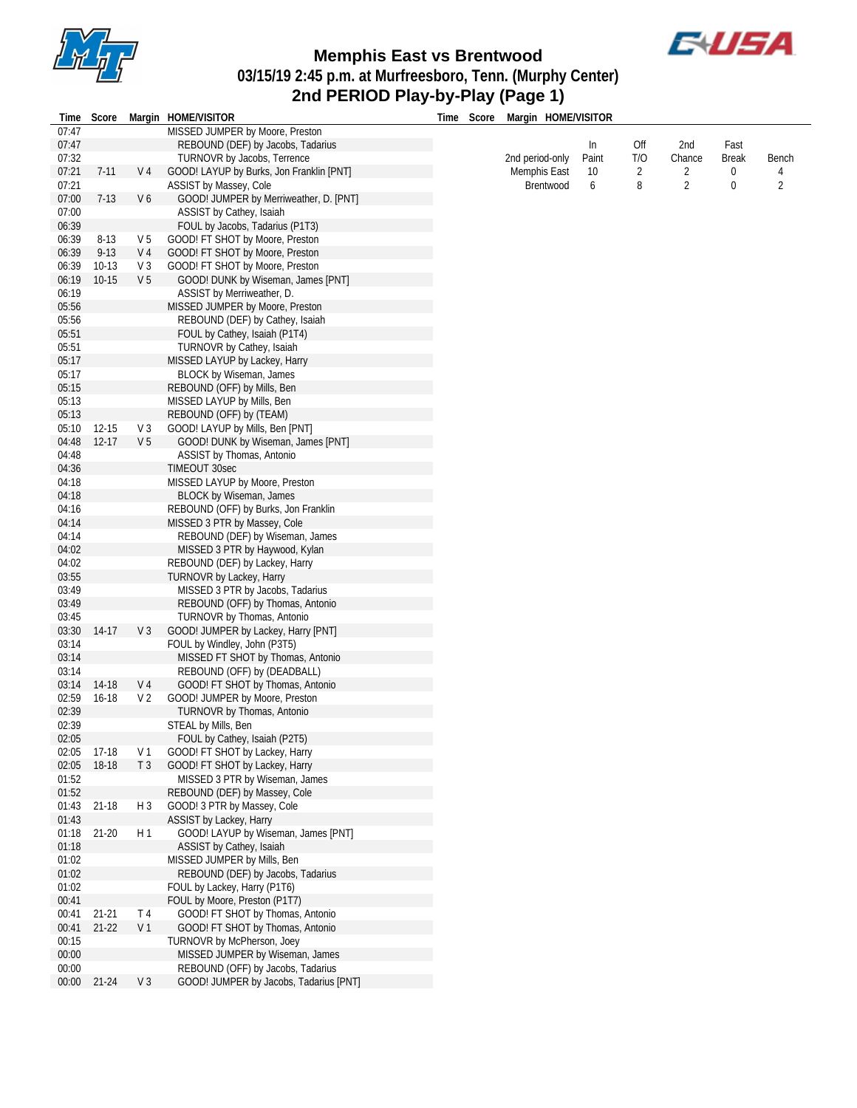



**03/15/19 2:45 p.m. at Murfreesboro, Tenn. (Murphy Center)**

### **2nd PERIOD Play-by-Play (Page 1)**

| Time           | Score     |                | Margin HOME/VISITOR                                            | Time Score | Margin HOME/VISITOR |       |     |                |              |                |
|----------------|-----------|----------------|----------------------------------------------------------------|------------|---------------------|-------|-----|----------------|--------------|----------------|
| 07:47          |           |                | MISSED JUMPER by Moore, Preston                                |            |                     |       |     |                |              |                |
| 07:47          |           |                | REBOUND (DEF) by Jacobs, Tadarius                              |            |                     | In    | Off | 2nd            | Fast         |                |
| 07:32          |           |                | TURNOVR by Jacobs, Terrence                                    |            | 2nd period-only     | Paint | T/O | Chance         | <b>Break</b> | Bench          |
| 07:21          | $7 - 11$  | V 4            | GOOD! LAYUP by Burks, Jon Franklin [PNT]                       |            | Memphis East        | 10    | 2   | 2              | 0            |                |
| 07:21          |           |                | ASSIST by Massey, Cole                                         |            | Brentwood           | 6     | 8   | $\overline{2}$ | 0            | $\overline{2}$ |
| 07:00          | $7-13$    | V6             | GOOD! JUMPER by Merriweather, D. [PNT]                         |            |                     |       |     |                |              |                |
| 07:00          |           |                | ASSIST by Cathey, Isaiah                                       |            |                     |       |     |                |              |                |
| 06:39          |           |                | FOUL by Jacobs, Tadarius (P1T3)                                |            |                     |       |     |                |              |                |
| 06:39          | $8-13$    | V 5            | GOOD! FT SHOT by Moore, Preston                                |            |                     |       |     |                |              |                |
| 06:39          | $9 - 13$  | V 4            | GOOD! FT SHOT by Moore, Preston                                |            |                     |       |     |                |              |                |
| 06:39          | $10-13$   | $V_3$          | GOOD! FT SHOT by Moore, Preston                                |            |                     |       |     |                |              |                |
| 06:19          | $10 - 15$ | V <sub>5</sub> | GOOD! DUNK by Wiseman, James [PNT]                             |            |                     |       |     |                |              |                |
| 06:19          |           |                | ASSIST by Merriweather, D.                                     |            |                     |       |     |                |              |                |
| 05:56          |           |                | MISSED JUMPER by Moore, Preston                                |            |                     |       |     |                |              |                |
| 05:56          |           |                | REBOUND (DEF) by Cathey, Isaiah                                |            |                     |       |     |                |              |                |
| 05:51          |           |                | FOUL by Cathey, Isaiah (P1T4)                                  |            |                     |       |     |                |              |                |
| 05:51<br>05:17 |           |                | TURNOVR by Cathey, Isaiah                                      |            |                     |       |     |                |              |                |
| 05:17          |           |                | MISSED LAYUP by Lackey, Harry                                  |            |                     |       |     |                |              |                |
| 05:15          |           |                | <b>BLOCK by Wiseman, James</b><br>REBOUND (OFF) by Mills, Ben  |            |                     |       |     |                |              |                |
| 05:13          |           |                | MISSED LAYUP by Mills, Ben                                     |            |                     |       |     |                |              |                |
| 05:13          |           |                | REBOUND (OFF) by (TEAM)                                        |            |                     |       |     |                |              |                |
| 05:10          | $12 - 15$ | $V_3$          | GOOD! LAYUP by Mills, Ben [PNT]                                |            |                     |       |     |                |              |                |
| 04:48          | $12 - 17$ | V <sub>5</sub> | GOOD! DUNK by Wiseman, James [PNT]                             |            |                     |       |     |                |              |                |
| 04:48          |           |                | ASSIST by Thomas, Antonio                                      |            |                     |       |     |                |              |                |
| 04:36          |           |                | TIMEOUT 30sec                                                  |            |                     |       |     |                |              |                |
| 04:18          |           |                | MISSED LAYUP by Moore, Preston                                 |            |                     |       |     |                |              |                |
| 04:18          |           |                | <b>BLOCK by Wiseman, James</b>                                 |            |                     |       |     |                |              |                |
| 04:16          |           |                | REBOUND (OFF) by Burks, Jon Franklin                           |            |                     |       |     |                |              |                |
| 04:14          |           |                | MISSED 3 PTR by Massey, Cole                                   |            |                     |       |     |                |              |                |
| 04:14          |           |                | REBOUND (DEF) by Wiseman, James                                |            |                     |       |     |                |              |                |
| 04:02          |           |                | MISSED 3 PTR by Haywood, Kylan                                 |            |                     |       |     |                |              |                |
| 04:02          |           |                | REBOUND (DEF) by Lackey, Harry                                 |            |                     |       |     |                |              |                |
| 03:55          |           |                | TURNOVR by Lackey, Harry                                       |            |                     |       |     |                |              |                |
| 03:49          |           |                | MISSED 3 PTR by Jacobs, Tadarius                               |            |                     |       |     |                |              |                |
| 03:49          |           |                | REBOUND (OFF) by Thomas, Antonio                               |            |                     |       |     |                |              |                |
| 03:45          |           |                | TURNOVR by Thomas, Antonio                                     |            |                     |       |     |                |              |                |
| 03:30          | 14-17     | V3             | GOOD! JUMPER by Lackey, Harry [PNT]                            |            |                     |       |     |                |              |                |
| 03:14          |           |                | FOUL by Windley, John (P3T5)                                   |            |                     |       |     |                |              |                |
| 03:14          |           |                | MISSED FT SHOT by Thomas, Antonio                              |            |                     |       |     |                |              |                |
| 03:14          |           |                | REBOUND (OFF) by (DEADBALL)                                    |            |                     |       |     |                |              |                |
| 03:14          | 14-18     | V 4            | GOOD! FT SHOT by Thomas, Antonio                               |            |                     |       |     |                |              |                |
| 02:59          | $16-18$   | V 2            | GOOD! JUMPER by Moore, Preston                                 |            |                     |       |     |                |              |                |
| 02:39          |           |                | TURNOVR by Thomas, Antonio                                     |            |                     |       |     |                |              |                |
| 02:39          |           |                | STEAL by Mills, Ben                                            |            |                     |       |     |                |              |                |
| 02:05          |           |                | FOUL by Cathey, Isaiah (P2T5)                                  |            |                     |       |     |                |              |                |
| 02:05          | 17-18     | V 1            | GOOD! FT SHOT by Lackey, Harry                                 |            |                     |       |     |                |              |                |
| 02:05          | 18-18     | T <sub>3</sub> | GOOD! FT SHOT by Lackey, Harry                                 |            |                     |       |     |                |              |                |
| 01:52          |           |                | MISSED 3 PTR by Wiseman, James                                 |            |                     |       |     |                |              |                |
| 01:52          |           |                | REBOUND (DEF) by Massey, Cole                                  |            |                     |       |     |                |              |                |
| 01:43          | $21 - 18$ | $H_3$          | GOOD! 3 PTR by Massey, Cole                                    |            |                     |       |     |                |              |                |
| 01:43          |           |                | ASSIST by Lackey, Harry                                        |            |                     |       |     |                |              |                |
| 01:18          | $21 - 20$ | H1             | GOOD! LAYUP by Wiseman, James [PNT]                            |            |                     |       |     |                |              |                |
| 01:18          |           |                | ASSIST by Cathey, Isaiah                                       |            |                     |       |     |                |              |                |
| 01:02          |           |                | MISSED JUMPER by Mills, Ben                                    |            |                     |       |     |                |              |                |
| 01:02          |           |                | REBOUND (DEF) by Jacobs, Tadarius                              |            |                     |       |     |                |              |                |
| 01:02          |           |                | FOUL by Lackey, Harry (P1T6)                                   |            |                     |       |     |                |              |                |
| 00:41          |           |                | FOUL by Moore, Preston (P1T7)                                  |            |                     |       |     |                |              |                |
| 00:41          | $21 - 21$ | T <sub>4</sub> | GOOD! FT SHOT by Thomas, Antonio                               |            |                     |       |     |                |              |                |
| 00:41          | $21-22$   | V 1            | GOOD! FT SHOT by Thomas, Antonio<br>TURNOVR by McPherson, Joey |            |                     |       |     |                |              |                |
| 00:15<br>00:00 |           |                | MISSED JUMPER by Wiseman, James                                |            |                     |       |     |                |              |                |
| 00:00          |           |                | REBOUND (OFF) by Jacobs, Tadarius                              |            |                     |       |     |                |              |                |
| 00:00          | $21 - 24$ | V <sub>3</sub> | GOOD! JUMPER by Jacobs, Tadarius [PNT]                         |            |                     |       |     |                |              |                |
|                |           |                |                                                                |            |                     |       |     |                |              |                |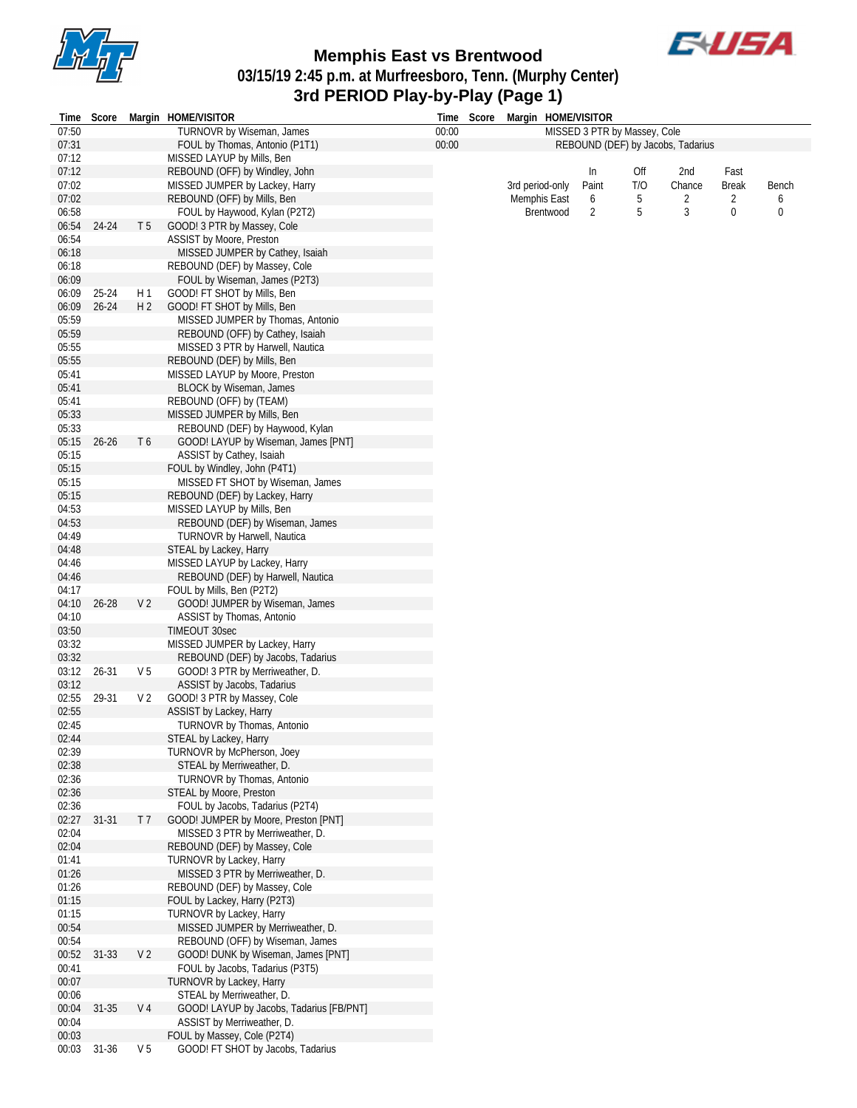



**03/15/19 2:45 p.m. at Murfreesboro, Tenn. (Murphy Center)**

# **3rd PERIOD Play-by-Play (Page 1)**

| Time  | Score     |                | Margin HOME/VISITOR                      |       | Time Score |                 |           | Margin HOME/VISITOR          |     |                                   |              |              |
|-------|-----------|----------------|------------------------------------------|-------|------------|-----------------|-----------|------------------------------|-----|-----------------------------------|--------------|--------------|
| 07:50 |           |                | TURNOVR by Wiseman, James                | 00:00 |            |                 |           | MISSED 3 PTR by Massey, Cole |     |                                   |              |              |
| 07:31 |           |                | FOUL by Thomas, Antonio (P1T1)           | 00:00 |            |                 |           |                              |     | REBOUND (DEF) by Jacobs, Tadarius |              |              |
| 07:12 |           |                | MISSED LAYUP by Mills, Ben               |       |            |                 |           |                              |     |                                   |              |              |
| 07:12 |           |                | REBOUND (OFF) by Windley, John           |       |            |                 |           | In                           | Off | 2nd                               | Fast         |              |
| 07:02 |           |                | MISSED JUMPER by Lackey, Harry           |       |            | 3rd period-only |           | Paint                        | T/O | Chance                            | <b>Break</b> | <b>Bench</b> |
| 07:02 |           |                | REBOUND (OFF) by Mills, Ben              |       |            | Memphis East    |           | 6                            | 5   | 2                                 | 2            | 6            |
| 06:58 |           |                | FOUL by Haywood, Kylan (P2T2)            |       |            |                 | Brentwood | 2                            | 5   | 3                                 | 0            | 0            |
| 06:54 | 24-24     | T <sub>5</sub> | GOOD! 3 PTR by Massey, Cole              |       |            |                 |           |                              |     |                                   |              |              |
| 06:54 |           |                | <b>ASSIST by Moore, Preston</b>          |       |            |                 |           |                              |     |                                   |              |              |
| 06:18 |           |                | MISSED JUMPER by Cathey, Isaiah          |       |            |                 |           |                              |     |                                   |              |              |
| 06:18 |           |                | REBOUND (DEF) by Massey, Cole            |       |            |                 |           |                              |     |                                   |              |              |
| 06:09 |           |                | FOUL by Wiseman, James (P2T3)            |       |            |                 |           |                              |     |                                   |              |              |
| 06:09 | 25-24     | H1             | GOOD! FT SHOT by Mills, Ben              |       |            |                 |           |                              |     |                                   |              |              |
| 06:09 | $26 - 24$ | H 2            | GOOD! FT SHOT by Mills, Ben              |       |            |                 |           |                              |     |                                   |              |              |
| 05:59 |           |                | MISSED JUMPER by Thomas, Antonio         |       |            |                 |           |                              |     |                                   |              |              |
| 05:59 |           |                | REBOUND (OFF) by Cathey, Isaiah          |       |            |                 |           |                              |     |                                   |              |              |
| 05:55 |           |                | MISSED 3 PTR by Harwell, Nautica         |       |            |                 |           |                              |     |                                   |              |              |
| 05:55 |           |                | REBOUND (DEF) by Mills, Ben              |       |            |                 |           |                              |     |                                   |              |              |
| 05:41 |           |                | MISSED LAYUP by Moore, Preston           |       |            |                 |           |                              |     |                                   |              |              |
| 05:41 |           |                | BLOCK by Wiseman, James                  |       |            |                 |           |                              |     |                                   |              |              |
| 05:41 |           |                | REBOUND (OFF) by (TEAM)                  |       |            |                 |           |                              |     |                                   |              |              |
| 05:33 |           |                | MISSED JUMPER by Mills, Ben              |       |            |                 |           |                              |     |                                   |              |              |
| 05:33 |           |                | REBOUND (DEF) by Haywood, Kylan          |       |            |                 |           |                              |     |                                   |              |              |
| 05:15 | $26 - 26$ | T6             | GOOD! LAYUP by Wiseman, James [PNT]      |       |            |                 |           |                              |     |                                   |              |              |
| 05:15 |           |                | ASSIST by Cathey, Isaiah                 |       |            |                 |           |                              |     |                                   |              |              |
| 05:15 |           |                | FOUL by Windley, John (P4T1)             |       |            |                 |           |                              |     |                                   |              |              |
| 05:15 |           |                | MISSED FT SHOT by Wiseman, James         |       |            |                 |           |                              |     |                                   |              |              |
| 05:15 |           |                | REBOUND (DEF) by Lackey, Harry           |       |            |                 |           |                              |     |                                   |              |              |
| 04:53 |           |                | MISSED LAYUP by Mills, Ben               |       |            |                 |           |                              |     |                                   |              |              |
| 04:53 |           |                | REBOUND (DEF) by Wiseman, James          |       |            |                 |           |                              |     |                                   |              |              |
| 04:49 |           |                | TURNOVR by Harwell, Nautica              |       |            |                 |           |                              |     |                                   |              |              |
| 04:48 |           |                | STEAL by Lackey, Harry                   |       |            |                 |           |                              |     |                                   |              |              |
| 04:46 |           |                | MISSED LAYUP by Lackey, Harry            |       |            |                 |           |                              |     |                                   |              |              |
| 04:46 |           |                | REBOUND (DEF) by Harwell, Nautica        |       |            |                 |           |                              |     |                                   |              |              |
| 04:17 |           |                | FOUL by Mills, Ben (P2T2)                |       |            |                 |           |                              |     |                                   |              |              |
| 04:10 | $26 - 28$ | V <sub>2</sub> | GOOD! JUMPER by Wiseman, James           |       |            |                 |           |                              |     |                                   |              |              |
| 04:10 |           |                | ASSIST by Thomas, Antonio                |       |            |                 |           |                              |     |                                   |              |              |
| 03:50 |           |                | TIMEOUT 30sec                            |       |            |                 |           |                              |     |                                   |              |              |
| 03:32 |           |                | MISSED JUMPER by Lackey, Harry           |       |            |                 |           |                              |     |                                   |              |              |
| 03:32 |           |                | REBOUND (DEF) by Jacobs, Tadarius        |       |            |                 |           |                              |     |                                   |              |              |
| 03:12 | 26-31     | V <sub>5</sub> | GOOD! 3 PTR by Merriweather, D.          |       |            |                 |           |                              |     |                                   |              |              |
| 03:12 |           |                | ASSIST by Jacobs, Tadarius               |       |            |                 |           |                              |     |                                   |              |              |
| 02:55 | 29-31     | V 2            | GOOD! 3 PTR by Massey, Cole              |       |            |                 |           |                              |     |                                   |              |              |
| 02:55 |           |                | ASSIST by Lackey, Harry                  |       |            |                 |           |                              |     |                                   |              |              |
| 02:45 |           |                | TURNOVR by Thomas, Antonio               |       |            |                 |           |                              |     |                                   |              |              |
| 02:44 |           |                | STEAL by Lackey, Harry                   |       |            |                 |           |                              |     |                                   |              |              |
| 02:39 |           |                | TURNOVR by McPherson, Joey               |       |            |                 |           |                              |     |                                   |              |              |
| 02:38 |           |                | STEAL by Merriweather, D.                |       |            |                 |           |                              |     |                                   |              |              |
| 02:36 |           |                | TURNOVR by Thomas, Antonio               |       |            |                 |           |                              |     |                                   |              |              |
| 02:36 |           |                | STEAL by Moore, Preston                  |       |            |                 |           |                              |     |                                   |              |              |
| 02:36 |           |                | FOUL by Jacobs, Tadarius (P2T4)          |       |            |                 |           |                              |     |                                   |              |              |
| 02:27 | $31 - 31$ | T 7            | GOOD! JUMPER by Moore, Preston [PNT]     |       |            |                 |           |                              |     |                                   |              |              |
| 02:04 |           |                | MISSED 3 PTR by Merriweather, D.         |       |            |                 |           |                              |     |                                   |              |              |
| 02:04 |           |                | REBOUND (DEF) by Massey, Cole            |       |            |                 |           |                              |     |                                   |              |              |
| 01:41 |           |                | TURNOVR by Lackey, Harry                 |       |            |                 |           |                              |     |                                   |              |              |
| 01:26 |           |                | MISSED 3 PTR by Merriweather, D.         |       |            |                 |           |                              |     |                                   |              |              |
| 01:26 |           |                | REBOUND (DEF) by Massey, Cole            |       |            |                 |           |                              |     |                                   |              |              |
| 01:15 |           |                | FOUL by Lackey, Harry (P2T3)             |       |            |                 |           |                              |     |                                   |              |              |
| 01:15 |           |                | TURNOVR by Lackey, Harry                 |       |            |                 |           |                              |     |                                   |              |              |
| 00:54 |           |                | MISSED JUMPER by Merriweather, D.        |       |            |                 |           |                              |     |                                   |              |              |
| 00:54 |           |                | REBOUND (OFF) by Wiseman, James          |       |            |                 |           |                              |     |                                   |              |              |
| 00:52 | 31-33     | V <sub>2</sub> | GOOD! DUNK by Wiseman, James [PNT]       |       |            |                 |           |                              |     |                                   |              |              |
| 00:41 |           |                | FOUL by Jacobs, Tadarius (P3T5)          |       |            |                 |           |                              |     |                                   |              |              |
| 00:07 |           |                | <b>TURNOVR by Lackey, Harry</b>          |       |            |                 |           |                              |     |                                   |              |              |
| 00:06 |           |                | STEAL by Merriweather, D.                |       |            |                 |           |                              |     |                                   |              |              |
| 00:04 | $31 - 35$ | V <sub>4</sub> | GOOD! LAYUP by Jacobs, Tadarius [FB/PNT] |       |            |                 |           |                              |     |                                   |              |              |
| 00:04 |           |                | ASSIST by Merriweather, D.               |       |            |                 |           |                              |     |                                   |              |              |
| 00:03 |           |                | FOUL by Massey, Cole (P2T4)              |       |            |                 |           |                              |     |                                   |              |              |
| 00:03 | 31-36     | V <sub>5</sub> | GOOD! FT SHOT by Jacobs, Tadarius        |       |            |                 |           |                              |     |                                   |              |              |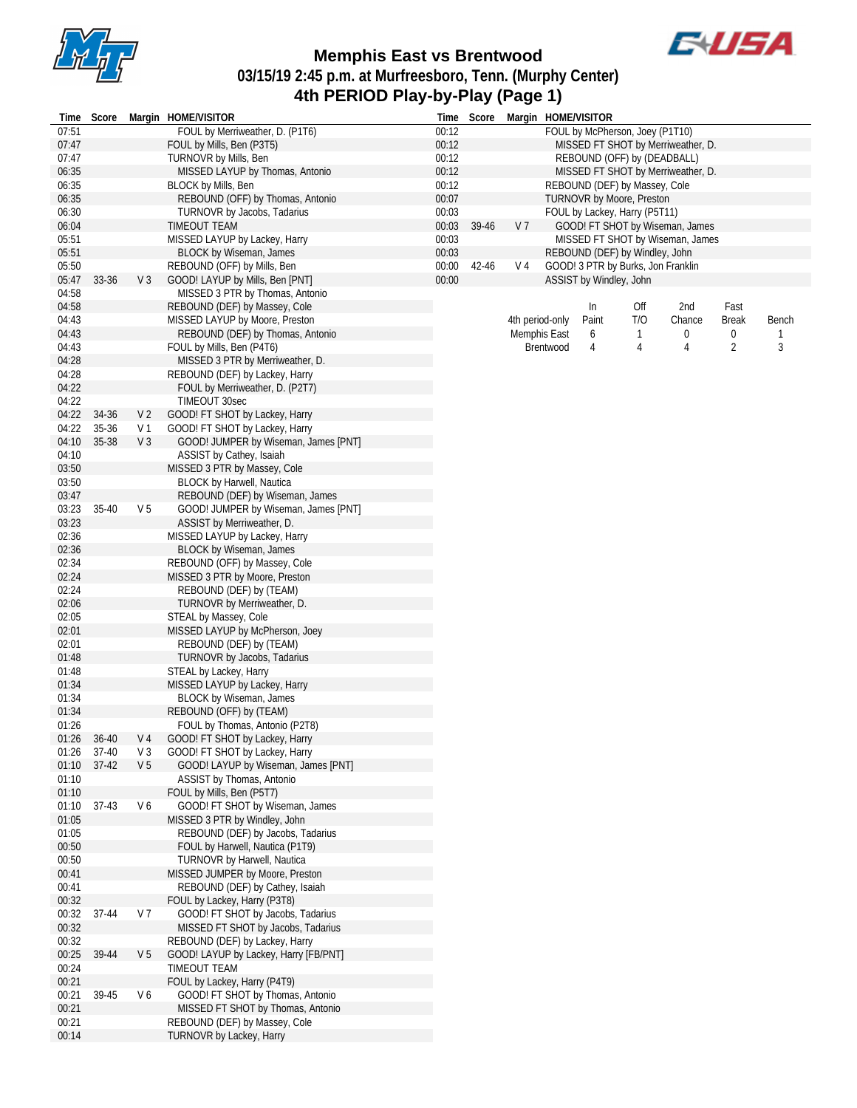



# **03/15/19 2:45 p.m. at Murfreesboro, Tenn. (Murphy Center) 4th PERIOD Play-by-Play (Page 1)**

|                |         |                | Time Score Margin HOME/VISITOR                                   |                | Time Score |                 |              | Margin HOME/VISITOR                |              |                                    |                |       |
|----------------|---------|----------------|------------------------------------------------------------------|----------------|------------|-----------------|--------------|------------------------------------|--------------|------------------------------------|----------------|-------|
| 07:51          |         |                | FOUL by Merriweather, D. (P1T6)                                  | 00:12          |            |                 |              | FOUL by McPherson, Joey (P1T10)    |              |                                    |                |       |
| 07:47          |         |                | FOUL by Mills, Ben (P3T5)                                        | 00:12          |            |                 |              |                                    |              | MISSED FT SHOT by Merriweather, D. |                |       |
| 07:47          |         |                | TURNOVR by Mills, Ben                                            | 00:12          |            |                 |              | REBOUND (OFF) by (DEADBALL)        |              |                                    |                |       |
| 06:35          |         |                | MISSED LAYUP by Thomas, Antonio                                  | 00:12          |            |                 |              |                                    |              | MISSED FT SHOT by Merriweather, D. |                |       |
| 06:35          |         |                | BLOCK by Mills, Ben                                              | 00:12          |            |                 |              | REBOUND (DEF) by Massey, Cole      |              |                                    |                |       |
| 06:35          |         |                | REBOUND (OFF) by Thomas, Antonio                                 | 00:07          |            |                 |              | <b>TURNOVR by Moore, Preston</b>   |              |                                    |                |       |
| 06:30<br>06:04 |         |                | TURNOVR by Jacobs, Tadarius                                      | 00:03          |            | V <sub>7</sub>  |              | FOUL by Lackey, Harry (P5T11)      |              | GOOD! FT SHOT by Wiseman, James    |                |       |
|                |         |                | TIMEOUT TEAM                                                     | 00:03<br>00:03 | 39-46      |                 |              |                                    |              | MISSED FT SHOT by Wiseman, James   |                |       |
| 05:51<br>05:51 |         |                | MISSED LAYUP by Lackey, Harry<br>BLOCK by Wiseman, James         | 00:03          |            |                 |              | REBOUND (DEF) by Windley, John     |              |                                    |                |       |
| 05:50          |         |                | REBOUND (OFF) by Mills, Ben                                      | 00:00          | 42-46      | V 4             |              | GOOD! 3 PTR by Burks, Jon Franklin |              |                                    |                |       |
| 05:47          | 33-36   | V <sub>3</sub> | GOOD! LAYUP by Mills, Ben [PNT]                                  | 00:00          |            |                 |              | ASSIST by Windley, John            |              |                                    |                |       |
| 04:58          |         |                | MISSED 3 PTR by Thomas, Antonio                                  |                |            |                 |              |                                    |              |                                    |                |       |
| 04:58          |         |                | REBOUND (DEF) by Massey, Cole                                    |                |            |                 |              | In.                                | Off          | 2nd                                | Fast           |       |
| 04:43          |         |                | MISSED LAYUP by Moore, Preston                                   |                |            | 4th period-only |              | Paint                              | T/O          | Chance                             | <b>Break</b>   | Bench |
| 04:43          |         |                | REBOUND (DEF) by Thomas, Antonio                                 |                |            |                 | Memphis East | 6                                  | $\mathbf{1}$ | 0                                  | 0              | 1     |
| 04:43          |         |                | FOUL by Mills, Ben (P4T6)                                        |                |            |                 | Brentwood    | 4                                  | 4            | 4                                  | $\overline{2}$ | 3     |
| 04:28          |         |                | MISSED 3 PTR by Merriweather, D.                                 |                |            |                 |              |                                    |              |                                    |                |       |
| 04:28          |         |                | REBOUND (DEF) by Lackey, Harry                                   |                |            |                 |              |                                    |              |                                    |                |       |
| 04:22          |         |                | FOUL by Merriweather, D. (P2T7)                                  |                |            |                 |              |                                    |              |                                    |                |       |
| 04:22          |         |                | TIMEOUT 30sec                                                    |                |            |                 |              |                                    |              |                                    |                |       |
| 04:22          | 34-36   | V <sub>2</sub> | GOOD! FT SHOT by Lackey, Harry                                   |                |            |                 |              |                                    |              |                                    |                |       |
| 04:22          | 35-36   | V 1            | GOOD! FT SHOT by Lackey, Harry                                   |                |            |                 |              |                                    |              |                                    |                |       |
| 04:10          | 35-38   | V <sub>3</sub> | GOOD! JUMPER by Wiseman, James [PNT]                             |                |            |                 |              |                                    |              |                                    |                |       |
| 04:10          |         |                | ASSIST by Cathey, Isaiah                                         |                |            |                 |              |                                    |              |                                    |                |       |
| 03:50          |         |                | MISSED 3 PTR by Massey, Cole                                     |                |            |                 |              |                                    |              |                                    |                |       |
| 03:50          |         |                | BLOCK by Harwell, Nautica                                        |                |            |                 |              |                                    |              |                                    |                |       |
| 03:47          |         |                | REBOUND (DEF) by Wiseman, James                                  |                |            |                 |              |                                    |              |                                    |                |       |
| 03:23          | 35-40   | V <sub>5</sub> | GOOD! JUMPER by Wiseman, James [PNT]                             |                |            |                 |              |                                    |              |                                    |                |       |
| 03:23          |         |                | ASSIST by Merriweather, D.                                       |                |            |                 |              |                                    |              |                                    |                |       |
| 02:36          |         |                | MISSED LAYUP by Lackey, Harry                                    |                |            |                 |              |                                    |              |                                    |                |       |
| 02:36          |         |                | BLOCK by Wiseman, James                                          |                |            |                 |              |                                    |              |                                    |                |       |
| 02:34          |         |                | REBOUND (OFF) by Massey, Cole                                    |                |            |                 |              |                                    |              |                                    |                |       |
| 02:24          |         |                | MISSED 3 PTR by Moore, Preston                                   |                |            |                 |              |                                    |              |                                    |                |       |
| 02:24          |         |                | REBOUND (DEF) by (TEAM)                                          |                |            |                 |              |                                    |              |                                    |                |       |
| 02:06          |         |                | TURNOVR by Merriweather, D.                                      |                |            |                 |              |                                    |              |                                    |                |       |
| 02:05<br>02:01 |         |                | STEAL by Massey, Cole<br>MISSED LAYUP by McPherson, Joey         |                |            |                 |              |                                    |              |                                    |                |       |
| 02:01          |         |                | REBOUND (DEF) by (TEAM)                                          |                |            |                 |              |                                    |              |                                    |                |       |
| 01:48          |         |                | <b>TURNOVR by Jacobs, Tadarius</b>                               |                |            |                 |              |                                    |              |                                    |                |       |
| 01:48          |         |                | STEAL by Lackey, Harry                                           |                |            |                 |              |                                    |              |                                    |                |       |
| 01:34          |         |                | MISSED LAYUP by Lackey, Harry                                    |                |            |                 |              |                                    |              |                                    |                |       |
| 01:34          |         |                | BLOCK by Wiseman, James                                          |                |            |                 |              |                                    |              |                                    |                |       |
| 01:34          |         |                | REBOUND (OFF) by (TEAM)                                          |                |            |                 |              |                                    |              |                                    |                |       |
| 01:26          |         |                | FOUL by Thomas, Antonio (P2T8)                                   |                |            |                 |              |                                    |              |                                    |                |       |
| 01:26          | 36-40   |                | GOOD! FT SHOT by Lackey, Harry                                   |                |            |                 |              |                                    |              |                                    |                |       |
| 01:26          | 37-40   | V <sub>3</sub> | GOOD! FT SHOT by Lackey, Harry                                   |                |            |                 |              |                                    |              |                                    |                |       |
| 01:10          | $37-42$ | V <sub>5</sub> | GOOD! LAYUP by Wiseman, James [PNT]                              |                |            |                 |              |                                    |              |                                    |                |       |
| 01:10          |         |                | ASSIST by Thomas, Antonio                                        |                |            |                 |              |                                    |              |                                    |                |       |
| 01:10          |         |                | FOUL by Mills, Ben (P5T7)                                        |                |            |                 |              |                                    |              |                                    |                |       |
| 01:10          | $37-43$ | V6             | GOOD! FT SHOT by Wiseman, James                                  |                |            |                 |              |                                    |              |                                    |                |       |
| 01:05          |         |                | MISSED 3 PTR by Windley, John                                    |                |            |                 |              |                                    |              |                                    |                |       |
| 01:05          |         |                | REBOUND (DEF) by Jacobs, Tadarius                                |                |            |                 |              |                                    |              |                                    |                |       |
| 00:50          |         |                | FOUL by Harwell, Nautica (P1T9)                                  |                |            |                 |              |                                    |              |                                    |                |       |
| 00:50          |         |                | TURNOVR by Harwell, Nautica                                      |                |            |                 |              |                                    |              |                                    |                |       |
| 00:41          |         |                | MISSED JUMPER by Moore, Preston                                  |                |            |                 |              |                                    |              |                                    |                |       |
| 00:41          |         |                | REBOUND (DEF) by Cathey, Isaiah                                  |                |            |                 |              |                                    |              |                                    |                |       |
| 00:32          |         |                | FOUL by Lackey, Harry (P3T8)                                     |                |            |                 |              |                                    |              |                                    |                |       |
| 00:32          | 37-44   | V 7            | GOOD! FT SHOT by Jacobs, Tadarius                                |                |            |                 |              |                                    |              |                                    |                |       |
| 00:32          |         |                | MISSED FT SHOT by Jacobs, Tadarius                               |                |            |                 |              |                                    |              |                                    |                |       |
| 00:32          |         |                | REBOUND (DEF) by Lackey, Harry                                   |                |            |                 |              |                                    |              |                                    |                |       |
| 00:25          | 39-44   | V <sub>5</sub> | GOOD! LAYUP by Lackey, Harry [FB/PNT]<br>TIMEOUT TEAM            |                |            |                 |              |                                    |              |                                    |                |       |
| 00:24<br>00:21 |         |                |                                                                  |                |            |                 |              |                                    |              |                                    |                |       |
| 00:21          | 39-45   | V6             | FOUL by Lackey, Harry (P4T9)<br>GOOD! FT SHOT by Thomas, Antonio |                |            |                 |              |                                    |              |                                    |                |       |
| 00:21          |         |                | MISSED FT SHOT by Thomas, Antonio                                |                |            |                 |              |                                    |              |                                    |                |       |
| 00:21          |         |                | REBOUND (DEF) by Massey, Cole                                    |                |            |                 |              |                                    |              |                                    |                |       |
| 00:14          |         |                | TURNOVR by Lackey, Harry                                         |                |            |                 |              |                                    |              |                                    |                |       |
|                |         |                |                                                                  |                |            |                 |              |                                    |              |                                    |                |       |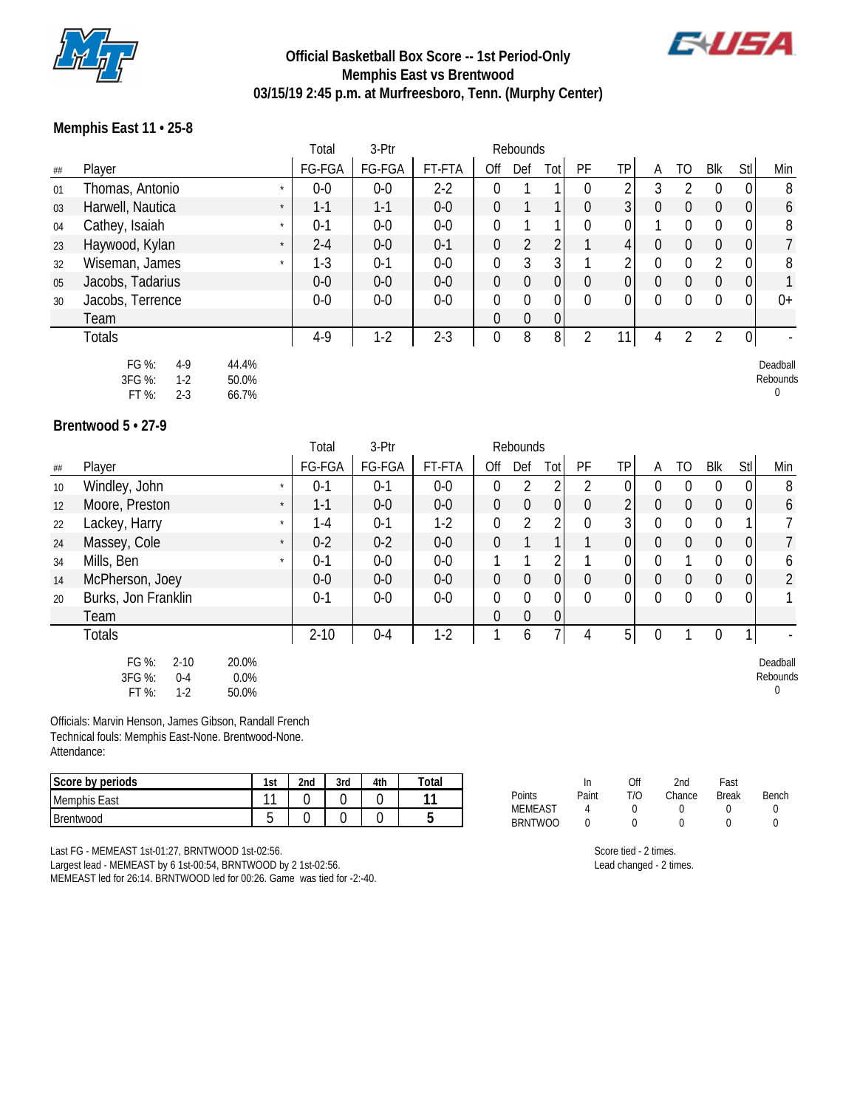

## **Official Basketball Box Score -- 1st Period-Only Memphis East vs Brentwood 03/15/19 2:45 p.m. at Murfreesboro, Tenn. (Murphy Center)**



Deadball Rebounds 0

## **Memphis East 11 • 25-8**

|    |                             | Total   | 3-Ptr   |         |                | Rebounds |          |          |    |   |    |            |                |                |
|----|-----------------------------|---------|---------|---------|----------------|----------|----------|----------|----|---|----|------------|----------------|----------------|
| ## | Player                      | FG-FGA  | FG-FGA  | FT-FTA  | Off            | Def      | Tot      | PF       | ТP | A | TO | <b>Blk</b> | <b>Stl</b>     | Min            |
| 01 | Thomas, Antonio             | $0-0$   | $0-0$   | $2-2$   |                |          |          | $\Omega$ | 2  |   |    |            | 0              | 8              |
| 03 | Harwell, Nautica<br>$\star$ | $1 - 1$ | $1 - 1$ | $0-0$   | $\theta$       |          |          | 0        | 3  |   | 0  |            | $\overline{0}$ | 6              |
| 04 | Cathey, Isaiah<br>$\star$   | $0 - 1$ | $0-0$   | $0-0$   |                |          |          | $\Omega$ | 0  |   |    |            | 0              | 8              |
| 23 | Haywood, Kylan<br>$\star$   | $2 - 4$ | $0-0$   | $0 - 1$ | $\theta$       |          |          |          | 4  |   | 0  | 0          | $\overline{0}$ | $\overline{7}$ |
| 32 | Wiseman, James<br>$\star$   | $1-3$   | $0 - 1$ | $0-0$   | $\Omega$       | 3        |          |          |    |   | O. |            | 0              | 8              |
| 05 | Jacobs, Tadarius            | $0-0$   | $0-0$   | $0-0$   | 0              | 0        |          | 0        | 0  |   | 0  |            | $\overline{0}$ | $\mathbf{1}$   |
| 30 | Jacobs, Terrence            | $0-0$   | $0-0$   | $0-0$   |                | $\Omega$ |          | $\Omega$ | 0  |   | 0  |            | 0              | $0+$           |
|    | Team                        |         |         |         | $\Omega$       | $\Omega$ | $\Omega$ |          |    |   |    |            |                |                |
|    | Totals                      | $4-9$   | $1-2$   | $2 - 3$ | $\overline{0}$ | 8        | 8        |          |    |   |    |            | 0 <sub>1</sub> |                |
|    |                             |         |         |         |                |          |          |          |    |   |    |            |                |                |

FG %: 4-9 44.4%<br>RFG %: 1-2 50.0% 3FG %: 1-2 FT %: 2-3 66.7%

**Brentwood 5 • 27-9**

|    |                                                                                    |         | Total    | 3-Ptr   |        |                  | Rebounds       |          |                  |                |          |              |                  |                  |                                  |
|----|------------------------------------------------------------------------------------|---------|----------|---------|--------|------------------|----------------|----------|------------------|----------------|----------|--------------|------------------|------------------|----------------------------------|
| ## | Player                                                                             |         | FG-FGA   | FG-FGA  | FT-FTA | Off              | Def            | Tot      | PF               | TP             | A        | TO           | Blk              | Stl              | Min                              |
| 10 | Windley, John                                                                      | $\star$ | $0 - 1$  | $0 - 1$ | $0-0$  | $\overline{0}$   | $\overline{2}$ |          |                  | $\overline{0}$ |          | 0            | $\Omega$         | $\boldsymbol{0}$ | 8                                |
| 12 | Moore, Preston                                                                     | $\star$ | $1 - 1$  | $0-0$   | $0-0$  | $\boldsymbol{0}$ | $\theta$       | 0        | $\overline{0}$   | 2              | 0        | $\mathbf 0$  | $\boldsymbol{0}$ | $\mathbf 0$      | 6                                |
| 22 | Lackey, Harry                                                                      | $\star$ | $1 - 4$  | $0 - 1$ | $1-2$  | $\mathbf 0$      | $\overline{2}$ | 2        | $\mathbf 0$      | 3              | $\Omega$ | $\mathbf{0}$ | $\Omega$         |                  |                                  |
| 24 | Massey, Cole                                                                       | $\star$ | $0 - 2$  | $0 - 2$ | $0-0$  | $\mathbf 0$      |                |          |                  | $\overline{0}$ | $\Omega$ | $\mathbf 0$  | $\overline{0}$   | $\boldsymbol{0}$ | 7                                |
| 34 | Mills, Ben                                                                         | $\star$ | $0 - 1$  | $0-0$   | $0-0$  |                  |                | 2        |                  | $\overline{0}$ | $\Omega$ |              | $\Omega$         | 0                | 6                                |
| 14 | McPherson, Joey                                                                    |         | $0-0$    | $0-0$   | $0-0$  | $\overline{0}$   | $\theta$       | 0        | $\boldsymbol{0}$ | 0              | $\Omega$ | $\mathbf 0$  | $\overline{0}$   | 0                | $\overline{2}$                   |
| 20 | Burks, Jon Franklin                                                                |         | $0 - 1$  | $0-0$   | $0-0$  | $\overline{0}$   | $\overline{0}$ | $\Omega$ | $\mathbf{0}$     | 0              | $\Omega$ | 0            | $\Omega$         | $\mathbf 0$      |                                  |
|    | Team                                                                               |         |          |         |        | 0                | $\mathbf 0$    | 0        |                  |                |          |              |                  |                  |                                  |
|    | <b>Totals</b>                                                                      |         | $2 - 10$ | $0 - 4$ | $1-2$  |                  | 6              |          | 4                | $5\vert$       | $\Omega$ |              | $\overline{0}$   |                  |                                  |
|    | FG %:<br>20.0%<br>$2 - 10$<br>3FG %:<br>0.0%<br>$0 - 4$<br>FT %:<br>$1-2$<br>50.0% |         |          |         |        |                  |                |          |                  |                |          |              |                  |                  | Deadball<br>Rebounds<br>$\Omega$ |

Officials: Marvin Henson, James Gibson, Randall French Technical fouls: Memphis East-None. Brentwood-None. Attendance:

| $\sim$<br>Score by periods | 1st    | 2 <sub>nd</sub> | 3rd | 4th | Total |                                  | ш     | Off | 2nd    | Fast         |       |
|----------------------------|--------|-----------------|-----|-----|-------|----------------------------------|-------|-----|--------|--------------|-------|
| Memphis East               | $\sim$ | ∽               |     |     |       | Points                           | Paint | T/O | Chance | <b>Break</b> | Bench |
| Brentwood                  | -      |                 |     |     |       | <b>MEMEAST</b><br><b>BRNTWOO</b> |       |     |        |              |       |

Last FG - MEMEAST 1st-01:27, BRNTWOOD 1st-02:56. Largest lead - MEMEAST by 6 1st-00:54, BRNTWOOD by 2 1st-02:56. MEMEAST led for 26:14. BRNTWOOD led for 00:26. Game was tied for -2:-40.

| 00 | O                     | O |  |
|----|-----------------------|---|--|
|    | Score tied - 2 times. |   |  |

Lead changed - 2 times.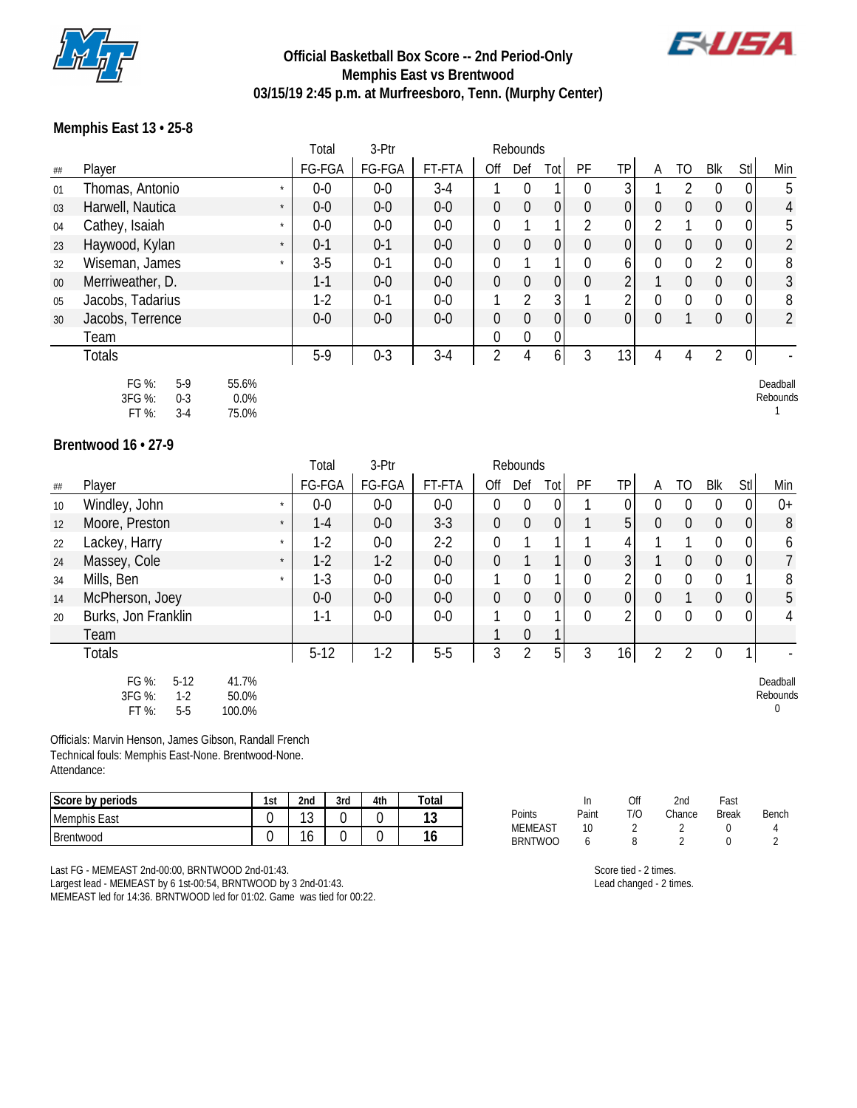

## **Official Basketball Box Score -- 2nd Period-Only Memphis East vs Brentwood 03/15/19 2:45 p.m. at Murfreesboro, Tenn. (Murphy Center)**



## **Memphis East 13 • 25-8**

|         |                                                     |                           | Total   | 3-Ptr   |        |                  | Rebounds       |                |                |                |          |                  |                |             |                      |
|---------|-----------------------------------------------------|---------------------------|---------|---------|--------|------------------|----------------|----------------|----------------|----------------|----------|------------------|----------------|-------------|----------------------|
| $\# \#$ | Player                                              |                           | FG-FGA  | FG-FGA  | FT-FTA | Off              | Def            | Tot            | PF             | <b>TP</b>      | A        | T <sub>O</sub>   | <b>Blk</b>     | Stl         | Min                  |
| 01      | Thomas, Antonio                                     | $\star$                   | $0-0$   | $0-0$   | $3-4$  |                  | $\Omega$       |                | $\Omega$       | 3              |          | 2                | $\Omega$       | 0           | 5                    |
| 03      | Harwell, Nautica                                    | $\star$                   | $0-0$   | $0-0$   | $0-0$  | $\boldsymbol{0}$ | $\mathbf 0$    | 0              | $\theta$       | $\overline{0}$ | $\Omega$ | $\boldsymbol{0}$ | $\overline{0}$ | $\mathbf 0$ | 4                    |
| 04      | Cathey, Isaiah                                      | $\star$                   | $0-0$   | $0-0$   | $0-0$  | $\mathbf 0$      |                |                | $\overline{2}$ | 0              |          |                  | 0              | 0           | 5                    |
| 23      | Haywood, Kylan                                      | $\star$                   | $0-1$   | $0 - 1$ | $0-0$  | $\boldsymbol{0}$ | $\mathbf 0$    | 0              | $\overline{0}$ | $\overline{0}$ | $\Omega$ | $\boldsymbol{0}$ | $\overline{0}$ | $\mathbf 0$ | $\overline{2}$       |
| 32      | Wiseman, James                                      | $\star$                   | $3-5$   | $0 - 1$ | $0-0$  | $\overline{0}$   |                |                | $\overline{0}$ | 6              | $\Omega$ | $\mathbf{0}$     | 2              | $\mathbf 0$ | 8                    |
| $00\,$  | Merriweather, D.                                    |                           | $1 - 1$ | $0-0$   | $0-0$  | $\boldsymbol{0}$ | $\mathbf 0$    | 0              | $\mathbf{0}$   |                |          | $\theta$         | $\overline{0}$ | 0           | 3                    |
| 05      | Jacobs, Tadarius                                    |                           | $1-2$   | $0 - 1$ | $0-0$  |                  | $\overline{2}$ | 3              |                | C.             | $\Omega$ | $\mathbf{0}$     | $\Omega$       | 0           | 8                    |
| 30      | Jacobs, Terrence                                    |                           | $0-0$   | $0-0$   | $0-0$  | $\mathbf 0$      | $\overline{0}$ | $\overline{0}$ | $\theta$       | $\overline{0}$ | $\Omega$ |                  | $\overline{0}$ | 0           | $\overline{2}$       |
|         | Team                                                |                           |         |         |        | 0                | $\overline{0}$ | $\mathbf{0}$   |                |                |          |                  |                |             |                      |
|         | <b>Totals</b>                                       |                           | $5-9$   | $0 - 3$ | $3-4$  | 2                | 4              | 6              | 3              | 13             | 4        | 4                | 2              | $\pmb{0}$   |                      |
|         | FG %:<br>$5-9$<br>3FG %:<br>$0 - 3$<br>FT%<br>$3-4$ | 55.6%<br>$0.0\%$<br>75.0% |         |         |        |                  |                |                |                |                |          |                  |                |             | Deadball<br>Rebounds |

#### **Brentwood 16 • 27-9**

|    |                                                      |                          | Total   | 3-Ptr  |         |                  | Rebounds       |                  |              |                |                |                  |                |                |                                      |
|----|------------------------------------------------------|--------------------------|---------|--------|---------|------------------|----------------|------------------|--------------|----------------|----------------|------------------|----------------|----------------|--------------------------------------|
| ## | Player                                               |                          | FG-FGA  | FG-FGA | FT-FTA  | Off              | Def            | Tot              | PF           | <b>TP</b>      | A              | TO               | Blk            | Stl            | Min                                  |
| 10 | Windley, John                                        |                          | $0-0$   | $0-0$  | $0-0$   | $\mathbf 0$      | $\mathbf{0}$   | 0                |              |                | $\Omega$       | $\overline{0}$   | $\mathbf 0$    | $\overline{0}$ | $0+$                                 |
| 12 | Moore, Preston                                       | $\star$                  | $1 - 4$ | $0-0$  | $3 - 3$ | $\overline{0}$   | $\mathbf 0$    | $\mathbf 0$      |              | 5 <sup>1</sup> | $\overline{0}$ | $\overline{0}$   | $\overline{0}$ | $\overline{0}$ | 8                                    |
| 22 | Lackey, Harry                                        | $\star$                  | $1-2$   | $0-0$  | $2-2$   | $\boldsymbol{0}$ |                |                  |              | 4              |                |                  | $\overline{0}$ | $\overline{0}$ | 6                                    |
| 24 | Massey, Cole                                         | $\star$                  | $1-2$   | $1-2$  | $0-0$   | $\mathbf 0$      |                |                  | $\mathbf 0$  | 3              |                | $\overline{0}$   | $\overline{0}$ | 0              | 7                                    |
| 34 | Mills, Ben                                           | $\star$                  | $1-3$   | $0-0$  | $0-0$   | 1                | $\mathbf 0$    |                  | 0            | C              | $\overline{0}$ | $\boldsymbol{0}$ | $\overline{0}$ |                | 8                                    |
| 14 | McPherson, Joey                                      |                          | $0-0$   | $0-0$  | $0-0$   | $\overline{0}$   | $\mathbf 0$    | $\boldsymbol{0}$ | $\mathbf{0}$ | $\overline{0}$ | $\overline{0}$ |                  | $\overline{0}$ | $\overline{0}$ | 5                                    |
| 20 | Burks, Jon Franklin                                  |                          | $1 - 1$ | $0-0$  | $0-0$   |                  | $\mathbf 0$    |                  | $\mathbf 0$  | C              | $\overline{0}$ | $\mathbf 0$      | $\overline{0}$ | 0              | 4                                    |
|    | Team                                                 |                          |         |        |         | 1                | 0              |                  |              |                |                |                  |                |                |                                      |
|    | <b>Totals</b>                                        |                          | $5-12$  | $1-2$  | $5-5$   | 3                | $\overline{2}$ | 5 <sub>l</sub>   | 3            | 16             | 2              | $\overline{2}$   | $\mathbf 0$    |                |                                      |
|    | FG %:<br>$5-12$<br>3FG %:<br>$1-2$<br>FT %:<br>$5-5$ | 41.7%<br>50.0%<br>100.0% |         |        |         |                  |                |                  |              |                |                |                  |                |                | Deadball<br>Rebounds<br>$\mathbf{0}$ |

Officials: Marvin Henson, James Gibson, Randall French Technical fouls: Memphis East-None. Brentwood-None. Attendance:

| Score by periods    | 1st | 2 <sub>nd</sub> | 3rd | 4th | $\tau$ otal |
|---------------------|-----|-----------------|-----|-----|-------------|
| <b>Memphis East</b> |     | 1 O<br>N        |     |     | ។ ^<br>ر ا  |
| <b>Brentwood</b>    |     | $\sim$<br>U     |     |     | 16          |

|                |       | Off | 2nd    | Fast         |       |
|----------------|-------|-----|--------|--------------|-------|
| Points         | Paint | חוד | Chance | <b>Break</b> | Bench |
| <b>MEMEAST</b> | 10    |     |        |              |       |
| <b>BRNTWOO</b> |       | 8   |        |              | ົ     |
|                |       |     |        |              |       |

Last FG - MEMEAST 2nd-00:00, BRNTWOOD 2nd-01:43. Largest lead - MEMEAST by 6 1st-00:54, BRNTWOOD by 3 2nd-01:43.

MEMEAST led for 14:36. BRNTWOOD led for 01:02. Game was tied for 00:22.

| Score tied - 2 times.   |  |
|-------------------------|--|
| Lead changed - 2 times. |  |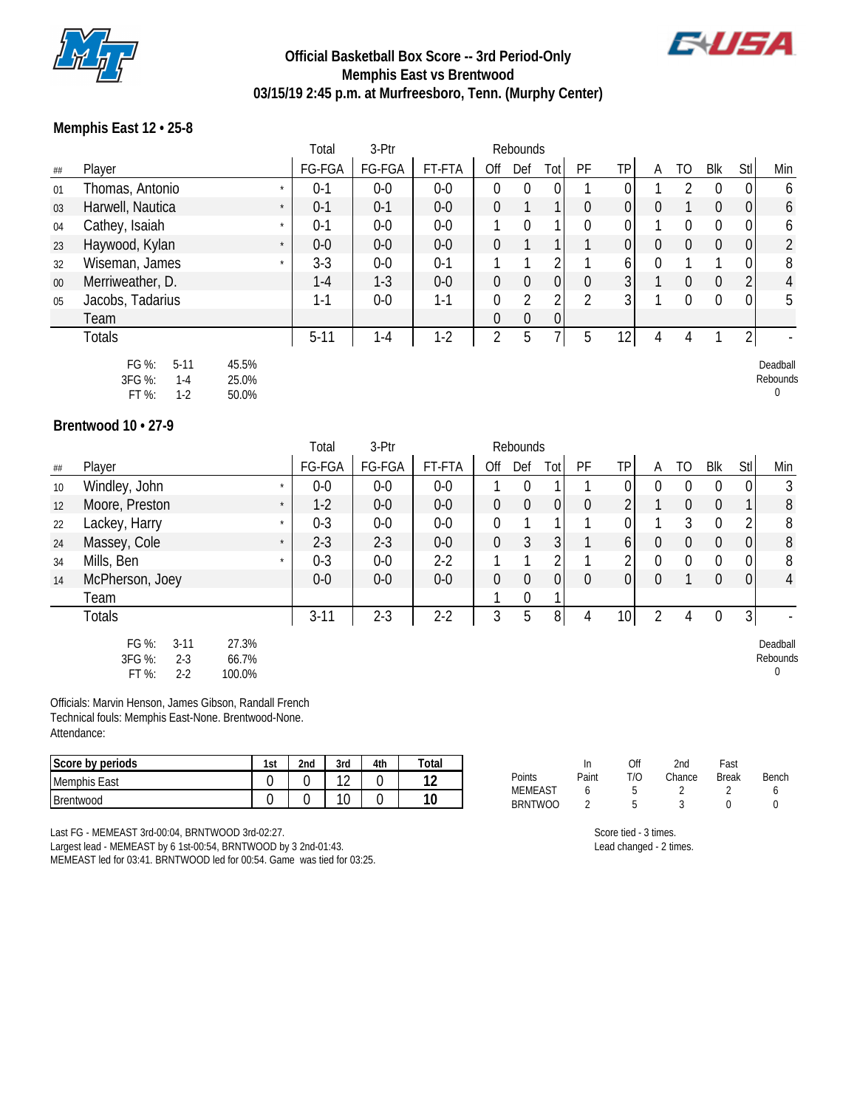

## **Official Basketball Box Score -- 3rd Period-Only Memphis East vs Brentwood 03/15/19 2:45 p.m. at Murfreesboro, Tenn. (Murphy Center)**



Rebounds 0

## **Memphis East 12 • 25-8**

|    |                             | Total   | 3-Ptr   |         |                | Rebounds       |          |    |                 |   |              |            |                |                |
|----|-----------------------------|---------|---------|---------|----------------|----------------|----------|----|-----------------|---|--------------|------------|----------------|----------------|
| ## | Player                      | FG-FGA  | FG-FGA  | FT-FTA  | Off            | Def            | Tot      | PF | TP              | Α | TO           | <b>Blk</b> | Stl            | Min            |
| 01 | Thomas, Antonio<br>$\star$  | $0 - 1$ | $0-0$   | $0-0$   | $\Omega$       | 0              |          |    | 0               |   |              |            | 0              | 6              |
| 03 | Harwell, Nautica<br>$\star$ | $0-1$   | $0 - 1$ | $0-0$   | $\overline{0}$ |                |          | 0  | $\overline{0}$  |   |              | 0          | $\overline{0}$ | 6              |
| 04 | Cathey, Isaiah<br>$\star$   | $0 - 1$ | $0-0$   | $0-0$   |                | $\Omega$       |          | 0  | 0               |   |              |            | 0              | 6              |
| 23 | Haywood, Kylan<br>$\star$   | $0-0$   | $0-0$   | $0-0$   | $\Omega$       |                |          |    | $\overline{0}$  | 0 | 0            | 0          | $\overline{0}$ | 2              |
| 32 | Wiseman, James<br>$\star$   | $3-3$   | $0-0$   | $0 - 1$ |                |                |          |    | 6               |   |              |            | 0              | 8              |
| 00 | Merriweather, D.            | $1 - 4$ | $1 - 3$ | $0-0$   | $\overline{0}$ | $\overline{0}$ | $\Omega$ | 0  | 3               |   | $\mathbf{0}$ | 0          | 2              | $\overline{4}$ |
| 05 | Jacobs, Tadarius            | 1-1     | $0-0$   | 1-1     | $\Omega$       | 2              | ኅ        | 2  | 3 <sup>1</sup>  |   | 0            | 0          | 0              | 5              |
|    | Team                        |         |         |         | $\theta$       | 0              | 0        |    |                 |   |              |            |                |                |
|    | <b>Totals</b>               | $5-11$  | $1 - 4$ | $1 - 2$ | 2              | 5              |          | 5  | 12 <sub>1</sub> | 4 | 4            |            | 2              |                |
|    | FG %:<br>45.5%<br>$5 - 11$  |         |         |         |                |                |          |    |                 |   |              |            |                | Deadball       |

| FG %:   | 5-11    | 45.5% |
|---------|---------|-------|
| 3FG %:  | $1 - 4$ | 25.0% |
| $FT \%$ | 1-2     | 50.0% |

**Brentwood 10 • 27-9**

|    |                                                            |                          | Total    | 3-Ptr   |        |                  | Rebounds       |                |          |                 |          |                |                  |                |                           |
|----|------------------------------------------------------------|--------------------------|----------|---------|--------|------------------|----------------|----------------|----------|-----------------|----------|----------------|------------------|----------------|---------------------------|
| ## | Player                                                     |                          | FG-FGA   | FG-FGA  | FT-FTA | Off              | Def            | Tot            | PF       | <b>TP</b>       | A        | TO             | Blk              | Stl            | Min                       |
| 10 | Windley, John                                              | $\star$                  | $0-0$    | $0-0$   | $0-0$  |                  | $\theta$       |                |          | 01              | 0        | $\Omega$       | $\Omega$         | 0              | 3                         |
| 12 | Moore, Preston                                             | $\star$                  | $1-2$    | $0-0$   | $0-0$  | $\boldsymbol{0}$ | $\theta$       | 0              | $\theta$ |                 |          | $\overline{0}$ | $\theta$         |                | 8                         |
| 22 | Lackey, Harry                                              | $\star$                  | $0 - 3$  | $0-0$   | $0-0$  | $\boldsymbol{0}$ |                |                |          | 0               |          | 3              | $\Omega$         | 2              | 8                         |
| 24 | Massey, Cole                                               | $\star$                  | $2 - 3$  | $2 - 3$ | $0-0$  | $\mathbf 0$      | $\mathfrak{Z}$ | 3 <sup>1</sup> |          | 6               | $\Omega$ | $\mathbf 0$    | $\overline{0}$   | 0              | 8                         |
| 34 | Mills, Ben                                                 | $\star$                  | $0 - 3$  | $0-0$   | $2-2$  |                  |                | റ              |          | 2               | $\Omega$ | $\overline{0}$ | $\mathbf{0}$     | 0              | 8                         |
| 14 | McPherson, Joey                                            |                          | $0-0$    | $0-0$   | $0-0$  | $\mathbf 0$      | $\overline{0}$ | $\overline{0}$ | $\theta$ | $\overline{0}$  | $\Omega$ |                | $\overline{0}$   | $\mathbf 0$    | 4                         |
|    | Team                                                       |                          |          |         |        |                  | 0              |                |          |                 |          |                |                  |                |                           |
|    | <b>Totals</b>                                              |                          | $3 - 11$ | $2 - 3$ | $2-2$  | 3                | 5              | 8 <sup>1</sup> | 4        | 10 <sup>1</sup> | 2        | 4              | $\boldsymbol{0}$ | $\overline{3}$ |                           |
|    | FG %:<br>$3 - 11$<br>3FG %:<br>$2 - 3$<br>FT %:<br>$2 - 2$ | 27.3%<br>66.7%<br>100.0% |          |         |        |                  |                |                |          |                 |          |                |                  |                | Deadball<br>Rebounds<br>0 |

Officials: Marvin Henson, James Gibson, Randall French Technical fouls: Memphis East-None. Brentwood-None. Attendance:

| Score by periods | 1st | 2nd | 3rd | 4th | Total         |                                  | ın    | Эff | 2nd    | last         |       |
|------------------|-----|-----|-----|-----|---------------|----------------------------------|-------|-----|--------|--------------|-------|
| Memphis East     |     |     | -   |     | $\sim$<br>. . | Points                           | Paint | T/C | Chance | <b>Break</b> | Bench |
| Brentwood        |     |     | ັ   |     | 10            | <b>MEMEAST</b><br><b>BRNTWOO</b> |       |     |        |              |       |

Last FG - MEMEAST 3rd-00:04, BRNTWOOD 3rd-02:27.

Largest lead - MEMEAST by 6 1st-00:54, BRNTWOOD by 3 2nd-01:43. MEMEAST led for 03:41. BRNTWOOD led for 00:54. Game was tied for 03:25. Score tied - 3 times. Lead changed - 2 times.